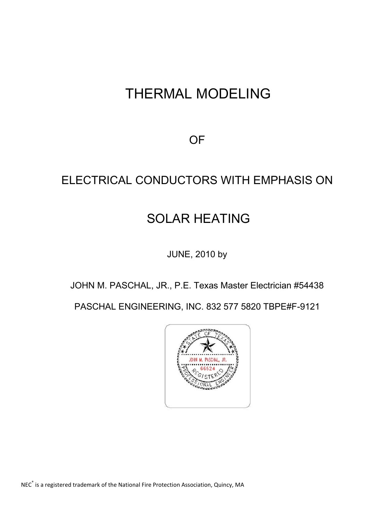## THERMAL MODELING

OF

## ELECTRICAL CONDUCTORS WITH EMPHASIS ON

## SOLAR HEATING

JUNE, 2010 by

JOHN M. PASCHAL, JR., P.E. Texas Master Electrician #54438

PASCHAL ENGINEERING, INC. 832 577 5820 TBPE#F-9121



NEC<sup>®</sup> is a registered trademark of the National Fire Protection Association, Quincy, MA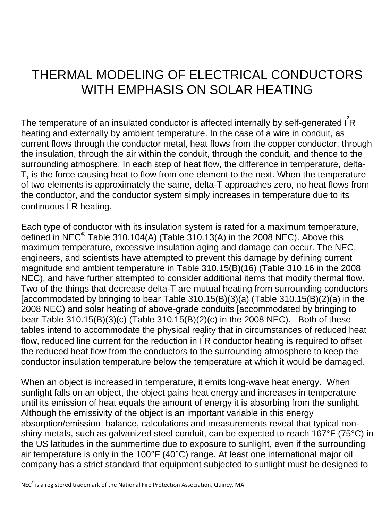## THERMAL MODELING OF ELECTRICAL CONDUCTORS WITH EMPHASIS ON SOLAR HEATING

The temperature of an insulated conductor is affected internally by self-generated  $\overrightarrow{\mathsf{I}}$  R heating and externally by ambient temperature. In the case of a wire in conduit, as current flows through the conductor metal, heat flows from the copper conductor, through the insulation, through the air within the conduit, through the conduit, and thence to the surrounding atmosphere. In each step of heat flow, the difference in temperature, delta-T, is the force causing heat to flow from one element to the next. When the temperature of two elements is approximately the same, delta-T approaches zero, no heat flows from the conductor, and the conductor system simply increases in temperature due to its continuous  $\mathsf{I}^2$ R heating.

Each type of conductor with its insulation system is rated for a maximum temperature, defined in NEC<sup>®</sup> Table 310.104(A) (Table 310.13(A) in the 2008 NEC). Above this maximum temperature, excessive insulation aging and damage can occur. The NEC, engineers, and scientists have attempted to prevent this damage by defining current magnitude and ambient temperature in Table 310.15(B)(16) (Table 310.16 in the 2008 NEC), and have further attempted to consider additional items that modify thermal flow. Two of the things that decrease delta-T are mutual heating from surrounding conductors [accommodated by bringing to bear Table 310.15(B)(3)(a) (Table 310.15(B)(2)(a) in the 2008 NEC) and solar heating of above-grade conduits [accommodated by bringing to bear Table 310.15(B)(3)(c) (Table 310.15(B)(2)(c) in the 2008 NEC). Both of these tables intend to accommodate the physical reality that in circumstances of reduced heat flow, reduced line current for the reduction in  $\hat{I}$ R conductor heating is required to offset the reduced heat flow from the conductors to the surrounding atmosphere to keep the conductor insulation temperature below the temperature at which it would be damaged.

When an object is increased in temperature, it emits long-wave heat energy. When sunlight falls on an object, the object gains heat energy and increases in temperature until its emission of heat equals the amount of energy it is absorbing from the sunlight. Although the emissivity of the object is an important variable in this energy absorption/emission balance, calculations and measurements reveal that typical nonshiny metals, such as galvanized steel conduit, can be expected to reach 167°F (75°C) in the US latitudes in the summertime due to exposure to sunlight, even if the surrounding air temperature is only in the 100°F (40°C) range. At least one international major oil company has a strict standard that equipment subjected to sunlight must be designed to